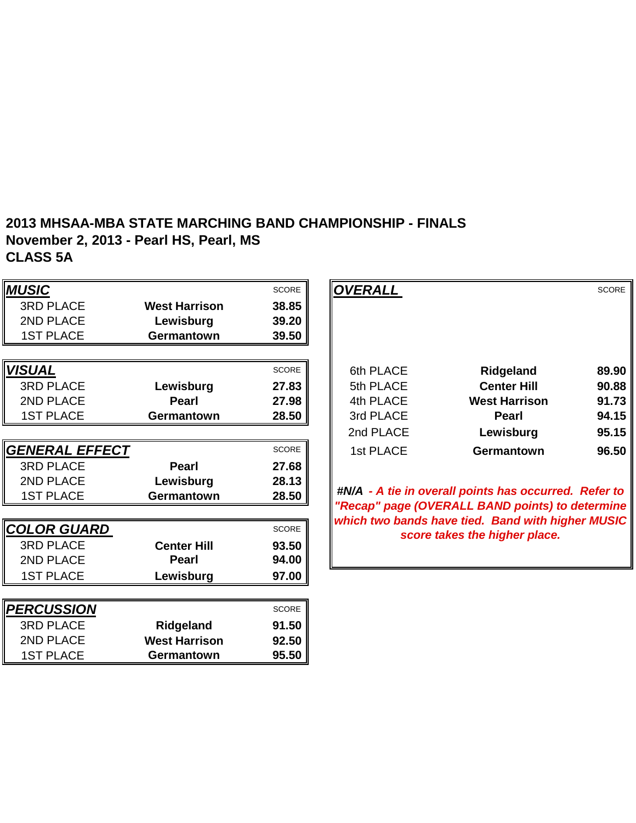#### **2013 MHSAA-MBA STATE MARCHING BAND CHAMPIONSHIP - FINALS November 2, 2013 - Pearl HS, Pearl, MS CLASS 5A**

| <b>MUSIC</b>          |                      | <b>SCORE</b> | <b>OVERALL</b> |                                                                                                      | <b>SCORE</b> |
|-----------------------|----------------------|--------------|----------------|------------------------------------------------------------------------------------------------------|--------------|
| <b>3RD PLACE</b>      | <b>West Harrison</b> | 38.85        |                |                                                                                                      |              |
| 2ND PLACE             | Lewisburg            | 39.20        |                |                                                                                                      |              |
| <b>1ST PLACE</b>      | Germantown           | 39.50        |                |                                                                                                      |              |
|                       |                      |              |                |                                                                                                      |              |
| <b>VISUAL</b>         |                      | <b>SCORE</b> | 6th PLACE      | <b>Ridgeland</b>                                                                                     | 89.90        |
| <b>3RD PLACE</b>      | Lewisburg            | 27.83        | 5th PLACE      | <b>Center Hill</b>                                                                                   | 90.88        |
| 2ND PLACE             | <b>Pearl</b>         | 27.98        | 4th PLACE      | <b>West Harrison</b>                                                                                 | 91.73        |
| <b>1ST PLACE</b>      | Germantown           | 28.50        | 3rd PLACE      | <b>Pearl</b>                                                                                         | 94.15        |
|                       |                      |              | 2nd PLACE      | Lewisburg                                                                                            | 95.15        |
| <b>GENERAL EFFECT</b> |                      | <b>SCORE</b> | 1st PLACE      | Germantown                                                                                           | 96.50        |
| <b>3RD PLACE</b>      | <b>Pearl</b>         | 27.68        |                |                                                                                                      |              |
| 2ND PLACE             | Lewisburg            | 28.13        |                |                                                                                                      |              |
| <b>1ST PLACE</b>      | Germantown           | 28.50        |                | #N/A - A tie in overall points has occurred. Refer to                                                |              |
|                       |                      |              |                | "Recap" page (OVERALL BAND points) to determine<br>which two bands have tied. Band with higher MUSIC |              |
| <b>COLOR GUARD</b>    |                      | SCORE        |                | score takes the higher place.                                                                        |              |
| <b>3RD PLACE</b>      | <b>Center Hill</b>   | 93.50        |                |                                                                                                      |              |
| 2ND PLACE             | <b>Pearl</b>         | 94.00        |                |                                                                                                      |              |
| <b>1ST PLACE</b>      | Lewisburg            | 97.00        |                |                                                                                                      |              |
|                       |                      |              |                |                                                                                                      |              |
| <b>PERCUSSION</b>     |                      | <b>SCORE</b> |                |                                                                                                      |              |
| <b>3RD PLACE</b>      | Ridgeland            | 91.50        |                |                                                                                                      |              |
| 2ND PLACE             | <b>West Harrison</b> | 92.50        |                |                                                                                                      |              |
| <b>1ST PLACE</b>      | Germantown           | 95.50        |                |                                                                                                      |              |

|                      | <b>SCORE</b> | <b>OVERALL</b> |                      | <b>SCORE</b> |
|----------------------|--------------|----------------|----------------------|--------------|
| <b>Nest Harrison</b> | 38.85        |                |                      |              |
| Lewisburg            | 39.20        |                |                      |              |
| Germantown           | 39.50        |                |                      |              |
|                      |              |                |                      |              |
|                      | <b>SCORE</b> | 6th PLACE      | Ridgeland            | 89.90        |
| Lewisburg            | 27.83        | 5th PLACE      | <b>Center Hill</b>   | 90.88        |
| <b>Pearl</b>         | 27.98        | 4th PLACE      | <b>West Harrison</b> | 91.73        |
| Germantown           | 28.50        | 3rd PLACE      | <b>Pearl</b>         | 94.15        |
|                      |              | 2nd PLACE      | Lewisburg            | 95.15        |
|                      | <b>SCORE</b> | 1st PLACE      | <b>Germantown</b>    | 96.50        |
| <b>Pearl</b>         | 27.68        |                |                      |              |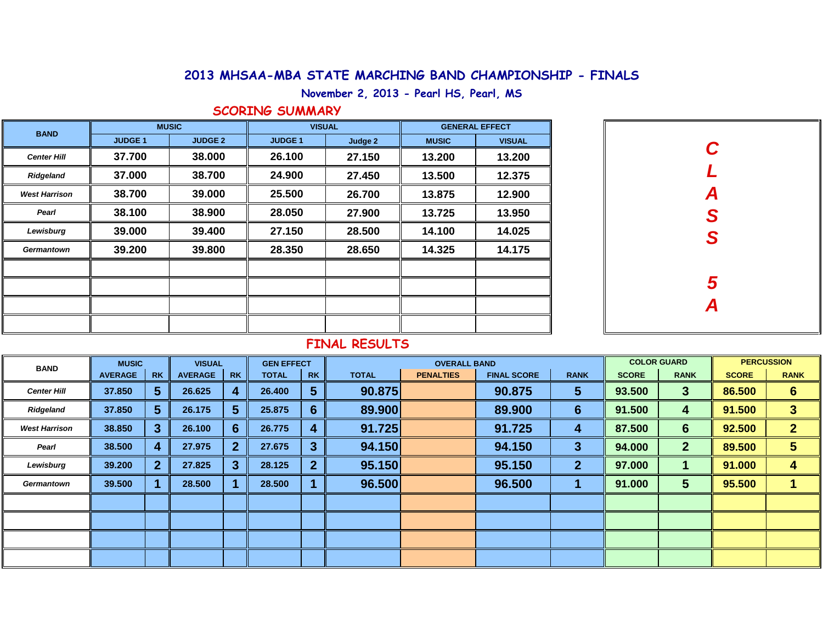# **2013 MHSAA-MBA STATE MARCHING BAND CHAMPIONSHIP - FINALS**

**November 2, 2013 - Pearl HS, Pearl, MS**

### **SCORING SUMMARY**

| <b>BAND</b>          |               | <b>MUSIC</b>   |                | <b>VISUAL</b> |              | <b>GENERAL EFFECT</b> |  |  |
|----------------------|---------------|----------------|----------------|---------------|--------------|-----------------------|--|--|
|                      | <b>JUDGE1</b> | <b>JUDGE 2</b> | <b>JUDGE 1</b> | Judge 2       | <b>MUSIC</b> | <b>VISUAL</b>         |  |  |
| <b>Center Hill</b>   | 37.700        | 38.000         | 26.100         | 27.150        | 13.200       | 13.200                |  |  |
| Ridgeland            | 37.000        | 38.700         | 24.900         | 27.450        | 13.500       | 12.375                |  |  |
| <b>West Harrison</b> | 38.700        | 39.000         | 25.500         | 26.700        | 13.875       | 12.900                |  |  |
| Pearl                | 38.100        | 38.900         | 28.050         | 27.900        | 13.725       | 13.950                |  |  |
| Lewisburg            | 39.000        | 39.400         | 27.150         | 28.500        | 14.100       | 14.025                |  |  |
| Germantown           | 39.200        | 39.800         | 28.350         | 28.650        | 14.325       | 14.175                |  |  |
|                      |               |                |                |               |              |                       |  |  |
|                      |               |                |                |               |              |                       |  |  |
|                      |               |                |                |               |              |                       |  |  |
|                      |               |                |                |               |              |                       |  |  |

| C<br>L<br>ASS |
|---------------|
|               |
|               |
|               |
| $\frac{5}{4}$ |

## **FINAL RESULTS**

| <b>BAND</b>          | <b>MUSIC</b>   |                | <b>VISUAL</b>  |           | <b>GEN EFFECT</b> |                         |              | <b>OVERALL BAND</b> |                    | <b>COLOR GUARD</b>      |              | <b>PERCUSSION</b>       |              |                 |  |
|----------------------|----------------|----------------|----------------|-----------|-------------------|-------------------------|--------------|---------------------|--------------------|-------------------------|--------------|-------------------------|--------------|-----------------|--|
|                      | <b>AVERAGE</b> | <b>RK</b>      | <b>AVERAGE</b> | <b>RK</b> | <b>TOTAL</b>      | <b>RK</b>               | <b>TOTAL</b> | <b>PENALTIES</b>    | <b>FINAL SCORE</b> | <b>RANK</b>             | <b>SCORE</b> | <b>RANK</b>             | <b>SCORE</b> | <b>RANK</b>     |  |
| <b>Center Hill</b>   | 37.850         | 5 <sup>5</sup> | 26.625         | 4         | 26.400            | $\overline{\mathbf{5}}$ | 90.875       |                     | 90.875             | $\overline{\mathbf{5}}$ | 93.500       | $\mathbf{3}$            | 86.500       | $6\phantom{1}6$ |  |
| <b>Ridgeland</b>     | 37.850         | 5 <sup>5</sup> | 26.175         | 5         | 25.875            | $6 \overline{6}$        | 89.900       |                     | 89.900             | $6 \overline{6}$        | 91.500       | 4                       | 91.500       | $\overline{3}$  |  |
| <b>West Harrison</b> | 38.850         | 3 <sup>1</sup> | 26.100         | 6         | 26.775            | $\vert 4 \vert$         | 91.725       |                     | 91.725             | 4                       | 87.500       | $6 \overline{6}$        | 92.500       | $\overline{2}$  |  |
| Pearl                | 38.500         | 4              | 27.975         |           | 27.675            | $\mathbf{3}$            | 94.150       |                     | 94.150             | 3                       | 94.000       | 2 <sup>1</sup>          | 89.500       | 5               |  |
| Lewisburg            | 39.200         | $\overline{2}$ | 27.825         | 3         | 28.125            | $\overline{2}$          | 95.150       |                     | 95.150             | $\mathbf{2}$            | 97.000       |                         | 91.000       | 4               |  |
| Germantown           | 39.500         |                | 28.500         |           | 28.500            |                         | 96.500       |                     | 96.500             |                         | 91.000       | $\overline{\mathbf{5}}$ | 95.500       |                 |  |
|                      |                |                |                |           |                   |                         |              |                     |                    |                         |              |                         |              |                 |  |
|                      |                |                |                |           |                   |                         |              |                     |                    |                         |              |                         |              |                 |  |
|                      |                |                |                |           |                   |                         |              |                     |                    |                         |              |                         |              |                 |  |
|                      |                |                |                |           |                   |                         |              |                     |                    |                         |              |                         |              |                 |  |